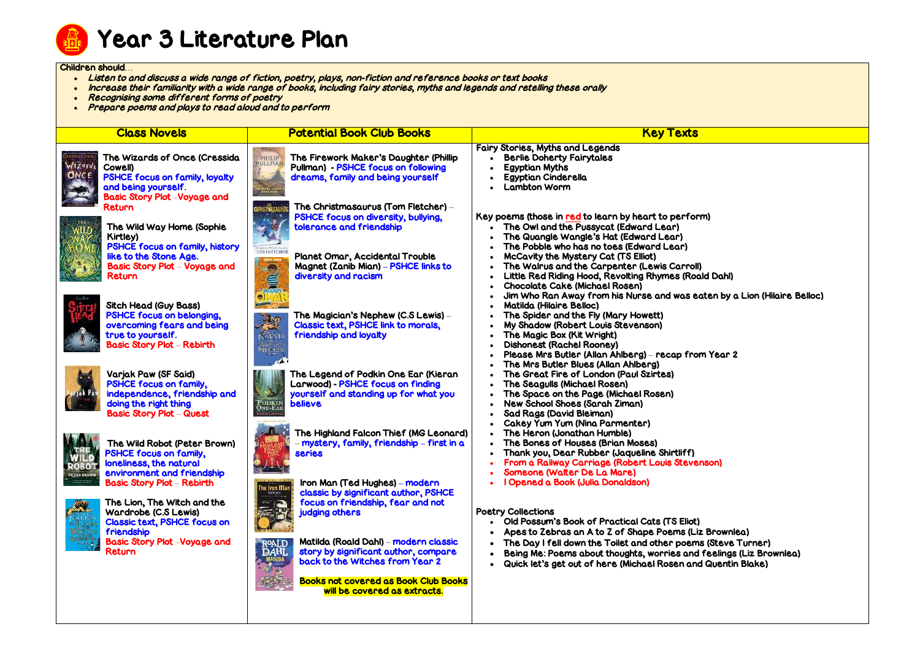

#### Children should…

- Listen to and discuss a wide range of fiction, poetry, plays, non-fiction and reference books or text books
- . Increase their familiarity with a wide range of books, including fairy stories, myths and legends and retelling these orally
- Recognising some different forms of poetry
- Prepare poems and plays to read aloud and to perform

| <b>Class Novels</b>                                                                                                                                                        | <b>Potential Book Club Books</b>                                                                                                                                                                                                                                                                      | <b>Key Texts</b>                                                                                                                                                                                                                                                                                                            |
|----------------------------------------------------------------------------------------------------------------------------------------------------------------------------|-------------------------------------------------------------------------------------------------------------------------------------------------------------------------------------------------------------------------------------------------------------------------------------------------------|-----------------------------------------------------------------------------------------------------------------------------------------------------------------------------------------------------------------------------------------------------------------------------------------------------------------------------|
| The Wizards of Once (Cressida<br>Cowell)<br>PSHCE focus on family, loyalty<br>and being yourself.<br><b>Basic Story Plot –Voyage and</b>                                   | The Firework Maker's Daughter (Phillip<br>PHILIP<br><b>JLLMAP</b><br>Pullman) - PSHCE focus on following<br>dreams, family and being yourself                                                                                                                                                         | <b>Fairy Stories, Myths and Legends</b><br><b>Berlie Doherty Fairytales</b><br><b>Egyptian Myths</b><br><b>Egyptian Cinderella</b><br><b>Lambton Worm</b>                                                                                                                                                                   |
| Return<br>The Wild Way Home (Sophie<br>Kirtley)<br>PSHCE focus on family, history<br>like to the Stone Age.<br><b>Basic Story Plot - Voyage and</b>                        | The Christmasaurus (Tom Fletcher) –<br><b>PSHCE focus on diversity, bullying,</b><br>tolerance and friendship<br>Planet Omar, Accidental Trouble<br><b>Magnet (Zanib Mian) – PSHCE links to</b>                                                                                                       | Key poems (those in <u>red</u> to learn by heart to perform)<br>The Owl and the Pussycat (Edward Lear)<br>The Quangle Wangle's Hat (Edward Lear)<br>The Pobble who has no toes (Edward Lear)<br>McCavity the Mystery Cat (TS Elliot)<br>The Walrus and the Carpenter (Lewis Carroll)                                        |
| Return<br><b>Sitch Head (Guy Bass)</b><br><b>PSHCE focus on belonging,</b><br>overcoming fears and being<br>true to yourself.<br><b>Basic Story Plot - Rebirth</b>         | diversity and racism<br>The Magician's Nephew (C.S Lewis) –<br>Classic text, PSHCE link to morals,<br>friendship and loyalty<br><b>NARNI</b>                                                                                                                                                          | Little Red Riding Hood, Revolting Rhymes (Roald<br><b>Chocolate Cake (Michael Rosen)</b><br>Jim Who Ran Away from his Nurse and was eate<br><b>Matilda (Hilaire Belloc)</b><br>The Spider and the Fly (Mary Howett)<br>My Shadow (Robert Louis Stevenson)<br>The Magic Box (Kit Wright)<br><b>Dishonest (Rachel Rooney)</b> |
| Varjak Paw (SF Said)<br><b>PSHCE focus on family,</b><br>independence, friendship and<br>doing the right thing<br><b>Basic Story Plot - Quest</b>                          | The Legend of Podkin One Ear (Kieran<br>Larwood) - PSHCE focus on finding<br>yourself and standing up for what you<br><b>believe</b>                                                                                                                                                                  | Please Mrs Butler (Allan Ahlberg) – recap from<br>The Mrs Butler Blues (Allan Ahlberg)<br>The Great Fire of London (Paul Szirtes)<br>The Seagulls (Michael Rosen)<br>The Space on the Page (Michael Rosen)<br>New School Shoes (Sarah Ziman)<br><b>Sad Rags (David Bleiman)</b><br>Cakey Yum Yum (Nina Parmenter)           |
| The Wild Robot (Peter Brown)<br><b>PSHCE focus on family,</b><br>loneliness, the natural<br>environment and friendship<br>PETER RROWN<br><b>Basic Story Plot - Rebirth</b> | The Highland Falcon Thief (MG Leonard)<br>- mystery, family, friendship - first in a<br><b>series</b><br>Iron Man (Ted Hughes) - modern<br>hu leon Ma<br>Arras<br>classic by significant author, PSHCE                                                                                                | The Heron (Jonathan Humble)<br>The Bones of Houses (Brian Moses)<br>Thank you, Dear Rubber (Jaqueline Shirtliff)<br>From a Railway Carriage (Robert Louis Stevens<br>Someone (Walter De La Mare)<br>I Opened a Book (Julia Donaldson)                                                                                       |
| The Lion, The Witch and the<br>Wardrobe (C.S Lewis)<br><b>Classic text, PSHCE focus on</b><br>friendship<br><b>Basic Story Plot -Voyage and</b><br>Return                  | focus on friendship, fear and not<br>judging others<br>Matilda (Roald Dahl) – modern classic<br>R <sup>oald</sup><br>DAHL<br>story by significant author, compare<br><b>MATILDA</b><br>back to the Witches from Year 2<br><b>Books not covered as Book Club Books</b><br>will be covered as extracts. | <b>Poetry Collections</b><br>Old Possum's Book of Practical Cats (TS Eliot)<br>Apes to Zebras an A to Z of Shape Poems (Liz B<br>The Day I fell down the Toilet and other poems (<br>Being Me: Poems about thoughts, worries and fe<br>Quick let's get out of here (Michael Rosen and G                                     |

 $\overline{\text{A}}$ id Dahl)

eaten by a Lion (Hilaire Belloc)

om Year 2

enson)

iz Brownlea) ns (Steve Turner) d feelings (Liz Brownlea) nd Quentin Blake)